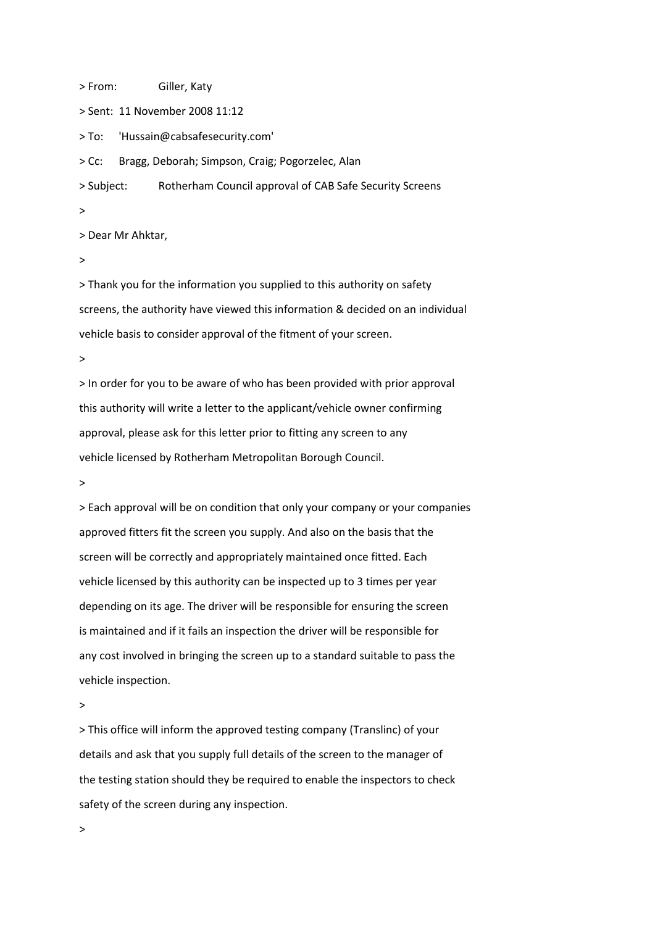> From: Giller, Katy

> Sent: 11 November 2008 11:12

> To: 'Hussain@cabsafesecurity.com'

> Cc: Bragg, Deborah; Simpson, Craig; Pogorzelec, Alan

> Subject: Rotherham Council approval of CAB Safe Security Screens

>

> Dear Mr Ahktar,

>

> Thank you for the information you supplied to this authority on safety screens, the authority have viewed this information & decided on an individual vehicle basis to consider approval of the fitment of your screen.

>

> In order for you to be aware of who has been provided with prior approval this authority will write a letter to the applicant/vehicle owner confirming approval, please ask for this letter prior to fitting any screen to any vehicle licensed by Rotherham Metropolitan Borough Council.

>

> Each approval will be on condition that only your company or your companies approved fitters fit the screen you supply. And also on the basis that the screen will be correctly and appropriately maintained once fitted. Each vehicle licensed by this authority can be inspected up to 3 times per year depending on its age. The driver will be responsible for ensuring the screen is maintained and if it fails an inspection the driver will be responsible for any cost involved in bringing the screen up to a standard suitable to pass the vehicle inspection.

>

> This office will inform the approved testing company (Translinc) of your details and ask that you supply full details of the screen to the manager of the testing station should they be required to enable the inspectors to check safety of the screen during any inspection.

>